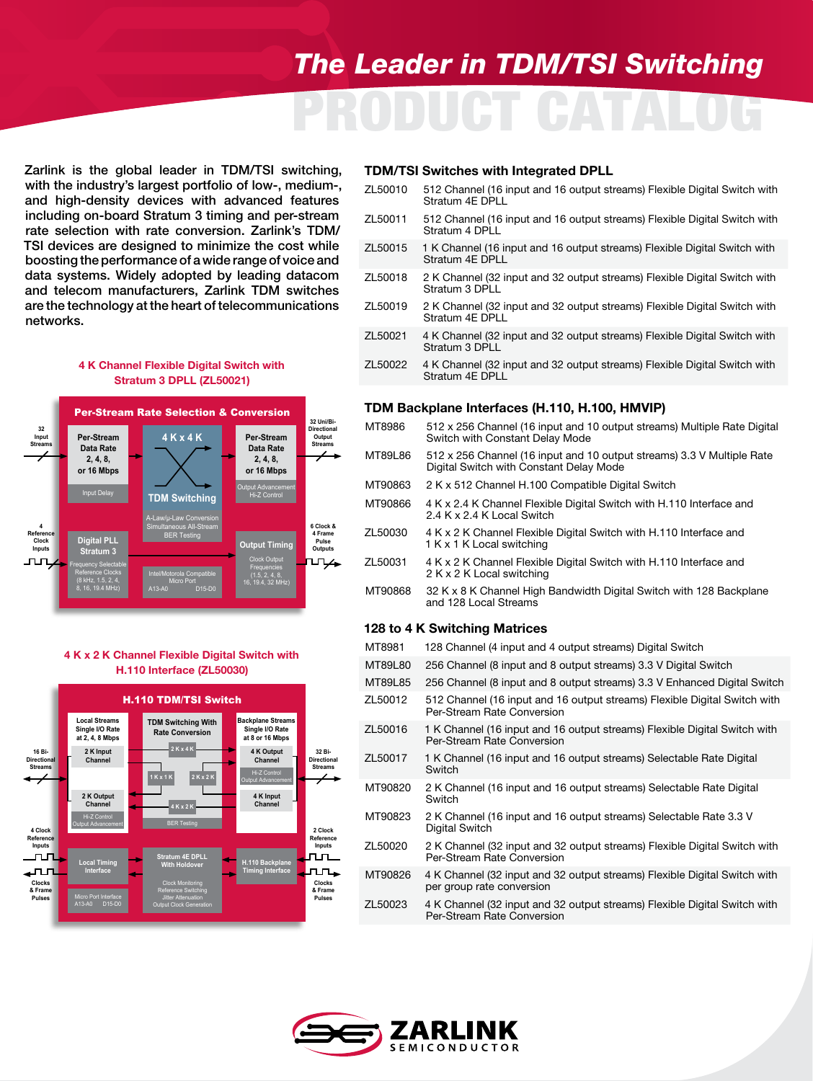# PRODUCT CATALOG *The Leader in TDM/TSI Switching*

Zarlink is the global leader in TDM/TSI switching, with the industry's largest portfolio of low-, medium-, and high-density devices with advanced features including on-board Stratum 3 timing and per-stream rate selection with rate conversion. Zarlink's TDM/ TSI devices are designed to minimize the cost while boosting the performance of a wide range of voice and data systems. Widely adopted by leading datacom and telecom manufacturers, Zarlink TDM switches are the technology at the heart of telecommunications networks.

# **ZL50021 Simplified Block Diagram** Stratum 3 DPLL (ZL50021) 4 K Channel Flexible Digital Switch with



# **ZL50030 Simplified Block Diagram** H.110 Interface (ZL50030) 4 K x 2 K Channel Flexible Digital Switch with



# TDM/TSI Switches with Integrated DPLL

| ZL50010 512 Channel (16 input and 16 output streams) Flexible Digital Switch with<br>Stratum 4E DPLL |
|------------------------------------------------------------------------------------------------------|
|                                                                                                      |

- ZL50011 512 Channel (16 input and 16 output streams) Flexible Digital Switch with Stratum 4 DPLL
- ZL50015 1 K Channel (16 input and 16 output streams) Flexible Digital Switch with Stratum 4E DPLL
- ZL50018 2 K Channel (32 input and 32 output streams) Flexible Digital Switch with Stratum 3 DPLL
- ZL50019 2 K Channel (32 input and 32 output streams) Flexible Digital Switch with Stratum 4E DPLL
- ZL50021 4 K Channel (32 input and 32 output streams) Flexible Digital Switch with Stratum 3 DPLL
- ZL50022 4 K Channel (32 input and 32 output streams) Flexible Digital Switch with Stratum 4E DPLL

### TDM Backplane Interfaces (H.110, H.100, HMVIP)

| MT8986  | 512 x 256 Channel (16 input and 10 output streams) Multiple Rate Digital<br>Switch with Constant Delay Mode       |
|---------|-------------------------------------------------------------------------------------------------------------------|
| MT89L86 | 512 x 256 Channel (16 input and 10 output streams) 3.3 V Multiple Rate<br>Digital Switch with Constant Delay Mode |
| MT90863 | 2 K x 512 Channel H.100 Compatible Digital Switch                                                                 |
| MT90866 | 4 K x 2.4 K Channel Flexible Digital Switch with H.110 Interface and<br>2.4 K x 2.4 K Local Switch                |
| ZL50030 | 4 K x 2 K Channel Flexible Digital Switch with H.110 Interface and<br>1 K x 1 K Local switching                   |
| ZL50031 | 4 K x 2 K Channel Flexible Digital Switch with H.110 Interface and<br>2 K x 2 K Local switching                   |
| MT90868 | 32 K x 8 K Channel High Bandwidth Digital Switch with 128 Backplane<br>and 128 Local Streams                      |

### 128 to 4 K Switching Matrices

| 128 Channel (4 input and 4 output streams) Digital Switch                                               |
|---------------------------------------------------------------------------------------------------------|
| 256 Channel (8 input and 8 output streams) 3.3 V Digital Switch                                         |
| 256 Channel (8 input and 8 output streams) 3.3 V Enhanced Digital Switch                                |
| 512 Channel (16 input and 16 output streams) Flexible Digital Switch with<br>Per-Stream Rate Conversion |
| 1 K Channel (16 input and 16 output streams) Flexible Digital Switch with<br>Per-Stream Rate Conversion |
| 1 K Channel (16 input and 16 output streams) Selectable Rate Digital<br>Switch                          |
| 2 K Channel (16 input and 16 output streams) Selectable Rate Digital<br>Switch                          |
| 2 K Channel (16 input and 16 output streams) Selectable Rate 3.3 V<br>Digital Switch                    |
| 2 K Channel (32 input and 32 output streams) Flexible Digital Switch with<br>Per-Stream Rate Conversion |
| 4 K Channel (32 input and 32 output streams) Flexible Digital Switch with<br>per group rate conversion  |
| 4 K Channel (32 input and 32 output streams) Flexible Digital Switch with<br>Per-Stream Rate Conversion |
|                                                                                                         |